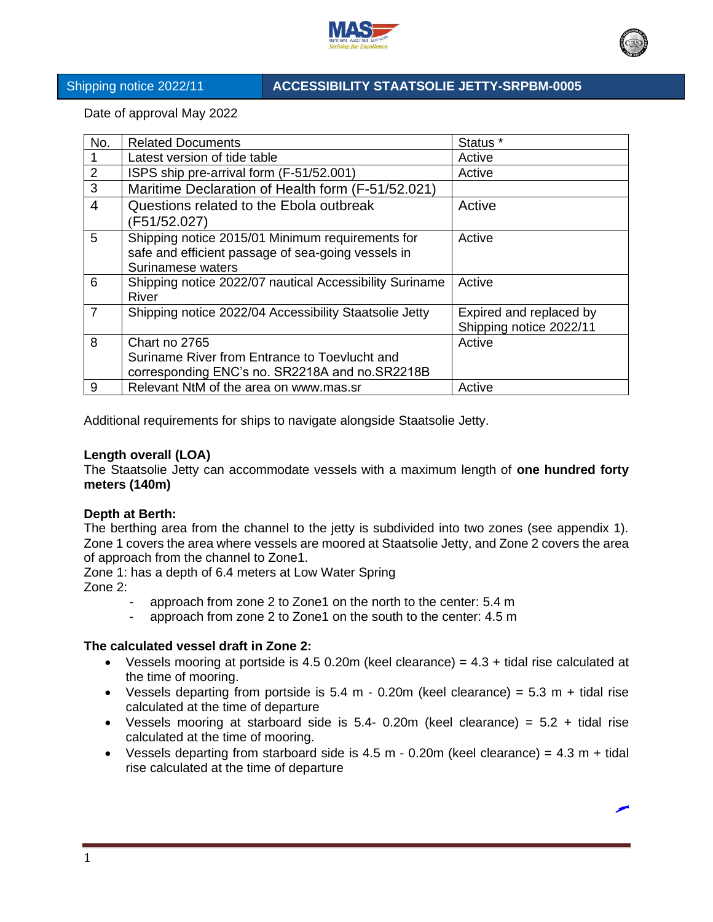



## Shipping notice 2022/11 **ACCESSIBILITY STAATSOLIE JETTY-SRPBM-0005**

Date of approval May 2022

| No.            | <b>Related Documents</b>                                                                                                    | Status *                                           |
|----------------|-----------------------------------------------------------------------------------------------------------------------------|----------------------------------------------------|
|                | Latest version of tide table                                                                                                | Active                                             |
| $\overline{2}$ | ISPS ship pre-arrival form (F-51/52.001)                                                                                    | Active                                             |
| 3              | Maritime Declaration of Health form (F-51/52.021)                                                                           |                                                    |
| 4              | Questions related to the Ebola outbreak<br>(F51/52.027)                                                                     | Active                                             |
| 5              | Shipping notice 2015/01 Minimum requirements for<br>safe and efficient passage of sea-going vessels in<br>Surinamese waters | Active                                             |
| 6              | Shipping notice 2022/07 nautical Accessibility Suriname<br>River                                                            | Active                                             |
| $\overline{7}$ | Shipping notice 2022/04 Accessibility Staatsolie Jetty                                                                      | Expired and replaced by<br>Shipping notice 2022/11 |
| 8              | Chart no 2765                                                                                                               | Active                                             |
|                | Suriname River from Entrance to Toevlucht and                                                                               |                                                    |
|                | corresponding ENC's no. SR2218A and no. SR2218B                                                                             |                                                    |
| 9              | Relevant NtM of the area on www.mas.sr                                                                                      | Active                                             |

Additional requirements for ships to navigate alongside Staatsolie Jetty.

## **Length overall (LOA)**

The Staatsolie Jetty can accommodate vessels with a maximum length of **one hundred forty meters (140m)** 

## **Depth at Berth:**

The berthing area from the channel to the jetty is subdivided into two zones (see appendix 1). Zone 1 covers the area where vessels are moored at Staatsolie Jetty, and Zone 2 covers the area of approach from the channel to Zone1.

Zone 1: has a depth of 6.4 meters at Low Water Spring Zone 2:

- approach from zone 2 to Zone1 on the north to the center: 5.4 m
- approach from zone 2 to Zone1 on the south to the center: 4.5 m

## **The calculated vessel draft in Zone 2:**

- Vessels mooring at portside is  $4.5$  0.20m (keel clearance) =  $4.3$  + tidal rise calculated at the time of mooring.
- Vessels departing from portside is  $5.4$  m 0.20m (keel clearance) =  $5.3$  m + tidal rise calculated at the time of departure
- Vessels mooring at starboard side is  $5.4$  0.20m (keel clearance) =  $5.2$  + tidal rise calculated at the time of mooring.
- Vessels departing from starboard side is  $4.5$  m  $-$  0.20m (keel clearance) =  $4.3$  m  $+$  tidal rise calculated at the time of departure

1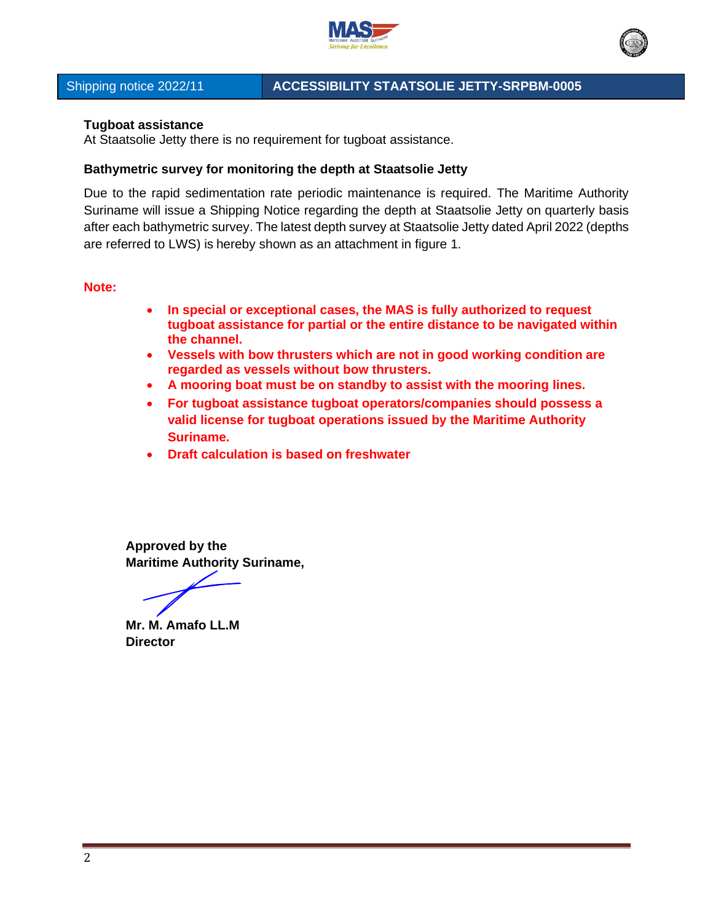



# Shipping notice 2022/11 **ACCESSIBILITY STAATSOLIE JETTY-SRPBM-0005**

### **Tugboat assistance**

At Staatsolie Jetty there is no requirement for tugboat assistance.

### **Bathymetric survey for monitoring the depth at Staatsolie Jetty**

Due to the rapid sedimentation rate periodic maintenance is required. The Maritime Authority Suriname will issue a Shipping Notice regarding the depth at Staatsolie Jetty on quarterly basis after each bathymetric survey. The latest depth survey at Staatsolie Jetty dated April 2022 (depths are referred to LWS) is hereby shown as an attachment in figure 1.

### **Note:**

- **In special or exceptional cases, the MAS is fully authorized to request tugboat assistance for partial or the entire distance to be navigated within the channel.**
- **Vessels with bow thrusters which are not in good working condition are regarded as vessels without bow thrusters.**
- **A mooring boat must be on standby to assist with the mooring lines.**
- **For tugboat assistance tugboat operators/companies should possess a valid license for tugboat operations issued by the Maritime Authority Suriname.**
- **Draft calculation is based on freshwater**

**Approved by the Maritime Authority Suriname,**

**Mr. M. Amafo LL.M Director**